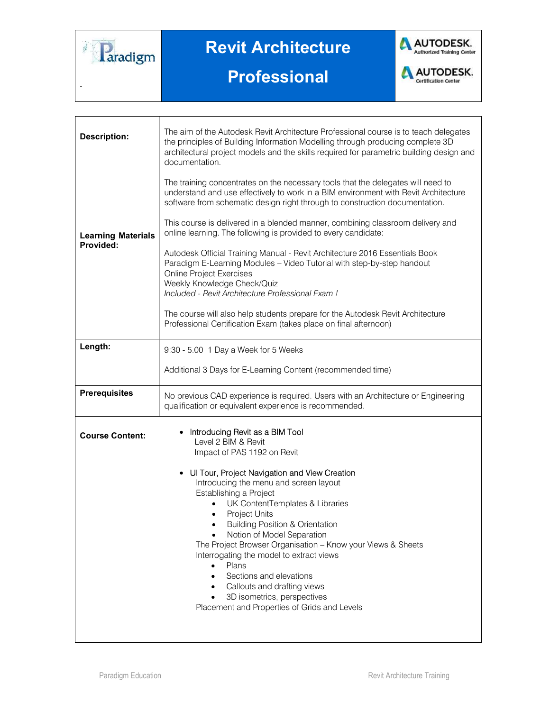

.

## Revit Architecture





**AUTODESK.**<br>Certification center

| <b>Description:</b>                    | The aim of the Autodesk Revit Architecture Professional course is to teach delegates<br>the principles of Building Information Modelling through producing complete 3D<br>architectural project models and the skills required for parametric building design and<br>documentation.                                                                                                                                                                                                                                                                                                                                                               |
|----------------------------------------|---------------------------------------------------------------------------------------------------------------------------------------------------------------------------------------------------------------------------------------------------------------------------------------------------------------------------------------------------------------------------------------------------------------------------------------------------------------------------------------------------------------------------------------------------------------------------------------------------------------------------------------------------|
|                                        | The training concentrates on the necessary tools that the delegates will need to<br>understand and use effectively to work in a BIM environment with Revit Architecture<br>software from schematic design right through to construction documentation.                                                                                                                                                                                                                                                                                                                                                                                            |
| <b>Learning Materials</b><br>Provided: | This course is delivered in a blended manner, combining classroom delivery and<br>online learning. The following is provided to every candidate:                                                                                                                                                                                                                                                                                                                                                                                                                                                                                                  |
|                                        | Autodesk Official Training Manual - Revit Architecture 2016 Essentials Book<br>Paradigm E-Learning Modules - Video Tutorial with step-by-step handout<br><b>Online Project Exercises</b><br>Weekly Knowledge Check/Quiz<br>Included - Revit Architecture Professional Exam !<br>The course will also help students prepare for the Autodesk Revit Architecture                                                                                                                                                                                                                                                                                    |
|                                        | Professional Certification Exam (takes place on final afternoon)                                                                                                                                                                                                                                                                                                                                                                                                                                                                                                                                                                                  |
| Length:                                | 9:30 - 5.00 1 Day a Week for 5 Weeks                                                                                                                                                                                                                                                                                                                                                                                                                                                                                                                                                                                                              |
|                                        | Additional 3 Days for E-Learning Content (recommended time)                                                                                                                                                                                                                                                                                                                                                                                                                                                                                                                                                                                       |
| <b>Prerequisites</b>                   | No previous CAD experience is required. Users with an Architecture or Engineering<br>qualification or equivalent experience is recommended.                                                                                                                                                                                                                                                                                                                                                                                                                                                                                                       |
| <b>Course Content:</b>                 | • Introducing Revit as a BIM Tool<br>Level 2 BIM & Revit<br>Impact of PAS 1192 on Revit<br>• Ul Tour, Project Navigation and View Creation<br>Introducing the menu and screen layout<br>Establishing a Project<br>UK ContentTemplates & Libraries<br>$\bullet$<br><b>Project Units</b><br>$\bullet$<br><b>Building Position &amp; Orientation</b><br>٠<br>Notion of Model Separation<br>The Project Browser Organisation - Know your Views & Sheets<br>Interrogating the model to extract views<br>Plans<br>Sections and elevations<br>Callouts and drafting views<br>3D isometrics, perspectives<br>Placement and Properties of Grids and Levels |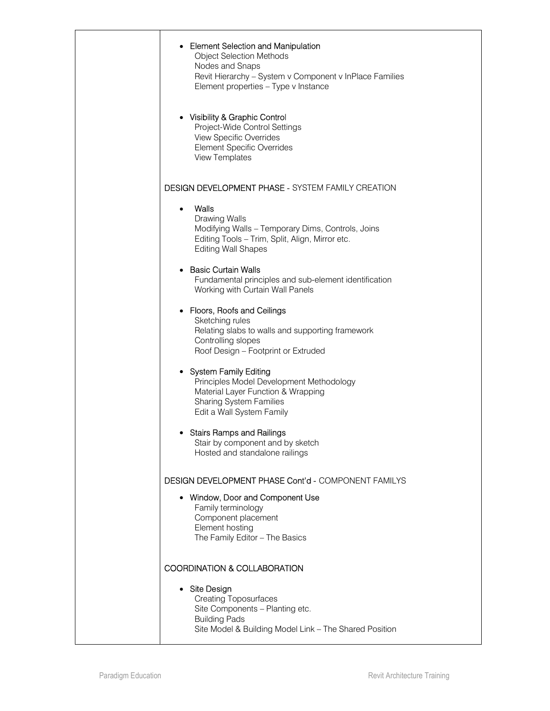| • Element Selection and Manipulation<br><b>Object Selection Methods</b><br>Nodes and Snaps<br>Revit Hierarchy - System v Component v InPlace Families<br>Element properties - Type v Instance<br>• Visibility & Graphic Control<br>Project-Wide Control Settings<br><b>View Specific Overrides</b><br><b>Element Specific Overrides</b><br><b>View Templates</b> |
|------------------------------------------------------------------------------------------------------------------------------------------------------------------------------------------------------------------------------------------------------------------------------------------------------------------------------------------------------------------|
| <b>DESIGN DEVELOPMENT PHASE - SYSTEM FAMILY CREATION</b>                                                                                                                                                                                                                                                                                                         |
| Walls<br>$\bullet$<br>Drawing Walls<br>Modifying Walls - Temporary Dims, Controls, Joins<br>Editing Tools - Trim, Split, Align, Mirror etc.<br><b>Editing Wall Shapes</b>                                                                                                                                                                                        |
| <b>Basic Curtain Walls</b><br>Fundamental principles and sub-element identification<br>Working with Curtain Wall Panels                                                                                                                                                                                                                                          |
| • Floors, Roofs and Ceilings<br>Sketching rules<br>Relating slabs to walls and supporting framework<br>Controlling slopes<br>Roof Design - Footprint or Extruded                                                                                                                                                                                                 |
| • System Family Editing<br>Principles Model Development Methodology<br>Material Layer Function & Wrapping<br><b>Sharing System Families</b><br>Edit a Wall System Family                                                                                                                                                                                         |
| • Stairs Ramps and Railings<br>Stair by component and by sketch<br>Hosted and standalone railings                                                                                                                                                                                                                                                                |
| <b>DESIGN DEVELOPMENT PHASE Cont'd - COMPONENT FAMILYS</b><br>• Window, Door and Component Use<br>Family terminology<br>Component placement<br>Element hosting<br>The Family Editor - The Basics                                                                                                                                                                 |
| <b>COORDINATION &amp; COLLABORATION</b><br>• Site Design<br><b>Creating Toposurfaces</b><br>Site Components - Planting etc.<br><b>Building Pads</b><br>Site Model & Building Model Link - The Shared Position                                                                                                                                                    |